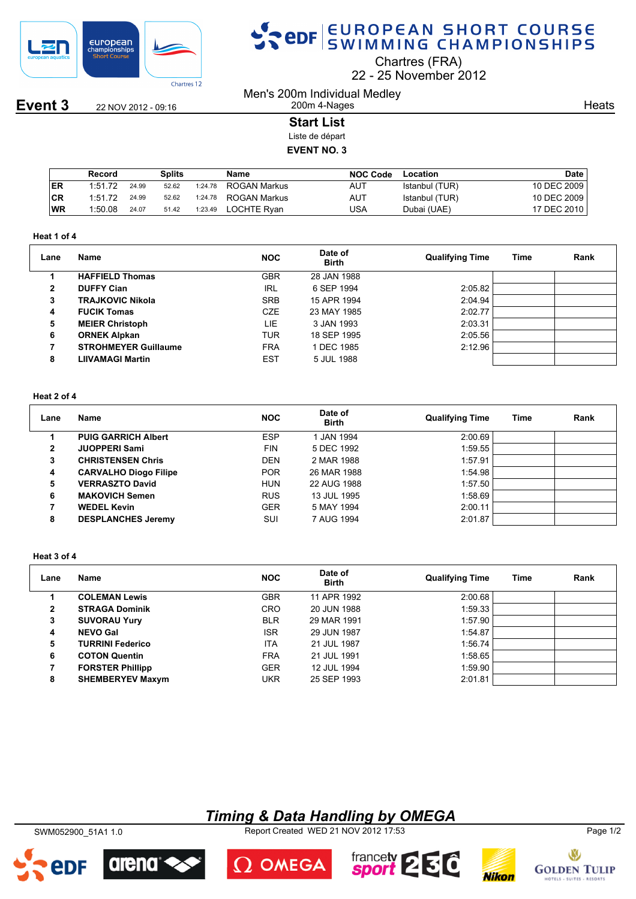

**Event 3** 22 NOV 2012 - 09:16

# SPOR EUROPEAN SHORT COURSE

Chartres (FRA)

22 25 November 2012

Men's 200m Individual Medley 200m 4-Nages

**Heats** 

### **Start List**

Liste de départ

### **EVENT NO. 3**

|           | Record  |       | Splits |         | Name         | <b>NOC Code</b> | Location       | <b>Date</b> |
|-----------|---------|-------|--------|---------|--------------|-----------------|----------------|-------------|
| I ER      | 1:51.72 | 24.99 | 52.62  | 1:24.78 | ROGAN Markus | AUT             | Istanbul (TUR) | 10 DEC 2009 |
| CR        | 1:51.72 | 24.99 | 52.62  | 1:24.78 | ROGAN Markus | AUT             | Istanbul (TUR) | 10 DEC 2009 |
| <b>WR</b> | 1:50.08 | 24.07 | 51.42  | 1:23.49 | LOCHTE Rvan  | JSA             | Dubai (UAE)    | 17 DEC 2010 |

#### **Heat 1 of 4**

| Lane         | Name                        | <b>NOC</b> | Date of<br><b>Birth</b> | <b>Qualifying Time</b> | Time | Rank |
|--------------|-----------------------------|------------|-------------------------|------------------------|------|------|
|              | <b>HAFFIELD Thomas</b>      | <b>GBR</b> | 28 JAN 1988             |                        |      |      |
| $\mathbf{2}$ | <b>DUFFY Cian</b>           | IRL        | 6 SEP 1994              | 2:05.82                |      |      |
| 3            | <b>TRAJKOVIC Nikola</b>     | <b>SRB</b> | 15 APR 1994             | 2:04.94                |      |      |
| 4            | <b>FUCIK Tomas</b>          | <b>CZE</b> | 23 MAY 1985             | 2:02.77                |      |      |
| 5            | <b>MEIER Christoph</b>      | LIE        | 3 JAN 1993              | 2:03.31                |      |      |
| 6            | <b>ORNEK Alpkan</b>         | <b>TUR</b> | 18 SEP 1995             | 2:05.56                |      |      |
|              | <b>STROHMEYER Guillaume</b> | <b>FRA</b> | 1 DEC 1985              | 2:12.96                |      |      |
| 8            | <b>LIIVAMAGI Martin</b>     | <b>EST</b> | 5 JUL 1988              |                        |      |      |

#### **Heat 2 of 4**

| Lane         | Name                         | <b>NOC</b> | Date of<br><b>Birth</b> | <b>Qualifying Time</b> | Time | Rank |
|--------------|------------------------------|------------|-------------------------|------------------------|------|------|
|              | <b>PUIG GARRICH Albert</b>   | <b>ESP</b> | I JAN 1994              | 2:00.69                |      |      |
| $\mathbf{2}$ | <b>JUOPPERI Sami</b>         | <b>FIN</b> | 5 DEC 1992              | 1:59.55                |      |      |
| 3            | <b>CHRISTENSEN Chris</b>     | <b>DEN</b> | 2 MAR 1988              | 1:57.91                |      |      |
| 4            | <b>CARVALHO Diogo Filipe</b> | <b>POR</b> | 26 MAR 1988             | 1:54.98                |      |      |
| 5            | <b>VERRASZTO David</b>       | <b>HUN</b> | 22 AUG 1988             | 1:57.50                |      |      |
| 6            | <b>MAKOVICH Semen</b>        | <b>RUS</b> | 13 JUL 1995             | 1:58.69                |      |      |
|              | <b>WEDEL Kevin</b>           | <b>GER</b> | 5 MAY 1994              | 2:00.11                |      |      |
| 8            | <b>DESPLANCHES Jeremy</b>    | SUI        | 7 AUG 1994              | 2:01.87                |      |      |

#### **Heat 3 of 4**

| Lane         | Name                    | <b>NOC</b> | Date of<br><b>Birth</b> | <b>Qualifying Time</b> | <b>Time</b> | Rank |
|--------------|-------------------------|------------|-------------------------|------------------------|-------------|------|
|              | <b>COLEMAN Lewis</b>    | <b>GBR</b> | 11 APR 1992             | 2:00.68                |             |      |
| $\mathbf{2}$ | <b>STRAGA Dominik</b>   | <b>CRO</b> | 20 JUN 1988             | 1:59.33                |             |      |
| 3            | <b>SUVORAU Yury</b>     | <b>BLR</b> | 29 MAR 1991             | 1:57.90                |             |      |
| 4            | <b>NEVO Gal</b>         | <b>ISR</b> | 29 JUN 1987             | 1:54.87                |             |      |
| 5            | <b>TURRINI Federico</b> | <b>ITA</b> | 21 JUL 1987             | 1:56.74                |             |      |
| 6            | <b>COTON Quentin</b>    | <b>FRA</b> | 21 JUL 1991             | 1:58.65                |             |      |
|              | <b>FORSTER Phillipp</b> | <b>GER</b> | 12 JUL 1994             | 1:59.90                |             |      |
| 8            | <b>SHEMBERYEV Maxym</b> | UKR        | 25 SEP 1993             | 2:01.81                |             |      |

## *Timing & Data Handling by OMEGA*

SWM052900\_51A1 1.0 Report Created WED 21 NOV 2012 17:53 Page 1/2